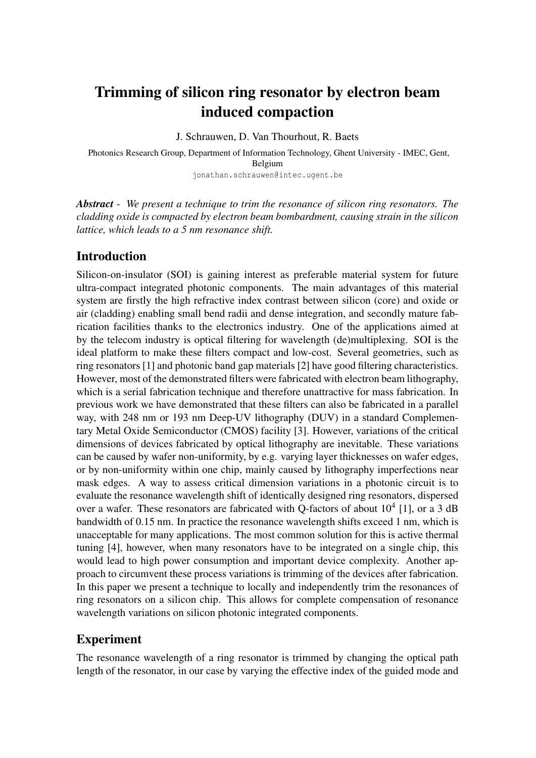# Trimming of silicon ring resonator by electron beam induced compaction

J. Schrauwen, D. Van Thourhout, R. Baets

Photonics Research Group, Department of Information Technology, Ghent University - IMEC, Gent, Belgium jonathan.schrauwen@intec.ugent.be

*Abstract* - *We present a technique to trim the resonance of silicon ring resonators. The cladding oxide is compacted by electron beam bombardment, causing strain in the silicon lattice, which leads to a 5 nm resonance shift.*

## Introduction

Silicon-on-insulator (SOI) is gaining interest as preferable material system for future ultra-compact integrated photonic components. The main advantages of this material system are firstly the high refractive index contrast between silicon (core) and oxide or air (cladding) enabling small bend radii and dense integration, and secondly mature fabrication facilities thanks to the electronics industry. One of the applications aimed at by the telecom industry is optical filtering for wavelength (de)multiplexing. SOI is the ideal platform to make these filters compact and low-cost. Several geometries, such as ring resonators [1] and photonic band gap materials [2] have good filtering characteristics. However, most of the demonstrated filters were fabricated with electron beam lithography, which is a serial fabrication technique and therefore unattractive for mass fabrication. In previous work we have demonstrated that these filters can also be fabricated in a parallel way, with 248 nm or 193 nm Deep-UV lithography (DUV) in a standard Complementary Metal Oxide Semiconductor (CMOS) facility [3]. However, variations of the critical dimensions of devices fabricated by optical lithography are inevitable. These variations can be caused by wafer non-uniformity, by e.g. varying layer thicknesses on wafer edges, or by non-uniformity within one chip, mainly caused by lithography imperfections near mask edges. A way to assess critical dimension variations in a photonic circuit is to evaluate the resonance wavelength shift of identically designed ring resonators, dispersed over a wafer. These resonators are fabricated with Q-factors of about  $10^4$  [1], or a 3 dB bandwidth of 0.15 nm. In practice the resonance wavelength shifts exceed 1 nm, which is unacceptable for many applications. The most common solution for this is active thermal tuning [4], however, when many resonators have to be integrated on a single chip, this would lead to high power consumption and important device complexity. Another approach to circumvent these process variations is trimming of the devices after fabrication. In this paper we present a technique to locally and independently trim the resonances of ring resonators on a silicon chip. This allows for complete compensation of resonance wavelength variations on silicon photonic integrated components.

# Experiment

The resonance wavelength of a ring resonator is trimmed by changing the optical path length of the resonator, in our case by varying the effective index of the guided mode and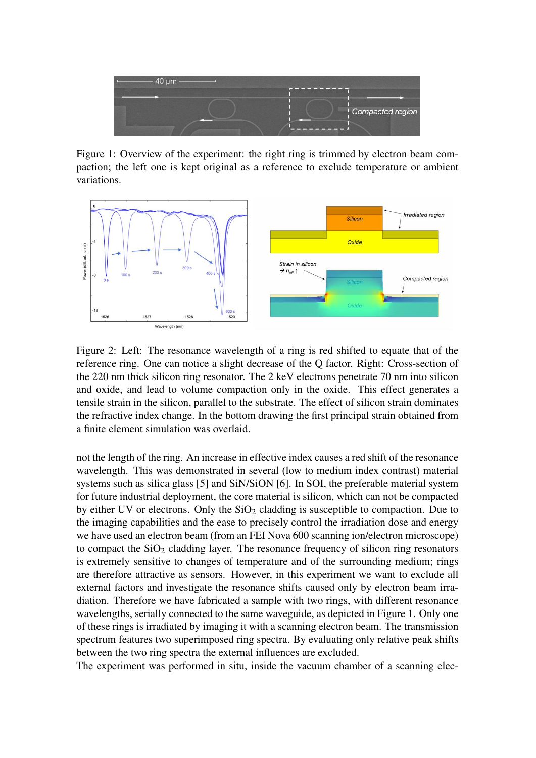

Figure 1: Overview of the experiment: the right ring is trimmed by electron beam compaction; the left one is kept original as a reference to exclude temperature or ambient variations.



Figure 2: Left: The resonance wavelength of a ring is red shifted to equate that of the reference ring. One can notice a slight decrease of the Q factor. Right: Cross-section of the 220 nm thick silicon ring resonator. The 2 keV electrons penetrate 70 nm into silicon and oxide, and lead to volume compaction only in the oxide. This effect generates a tensile strain in the silicon, parallel to the substrate. The effect of silicon strain dominates the refractive index change. In the bottom drawing the first principal strain obtained from a finite element simulation was overlaid.

not the length of the ring. An increase in effective index causes a red shift of the resonance wavelength. This was demonstrated in several (low to medium index contrast) material systems such as silica glass [5] and SiN/SiON [6]. In SOI, the preferable material system for future industrial deployment, the core material is silicon, which can not be compacted by either UV or electrons. Only the  $SiO<sub>2</sub>$  cladding is susceptible to compaction. Due to the imaging capabilities and the ease to precisely control the irradiation dose and energy we have used an electron beam (from an FEI Nova 600 scanning ion/electron microscope) to compact the  $SiO<sub>2</sub>$  cladding layer. The resonance frequency of silicon ring resonators is extremely sensitive to changes of temperature and of the surrounding medium; rings are therefore attractive as sensors. However, in this experiment we want to exclude all external factors and investigate the resonance shifts caused only by electron beam irradiation. Therefore we have fabricated a sample with two rings, with different resonance wavelengths, serially connected to the same waveguide, as depicted in Figure 1. Only one of these rings is irradiated by imaging it with a scanning electron beam. The transmission spectrum features two superimposed ring spectra. By evaluating only relative peak shifts between the two ring spectra the external influences are excluded.

The experiment was performed in situ, inside the vacuum chamber of a scanning elec-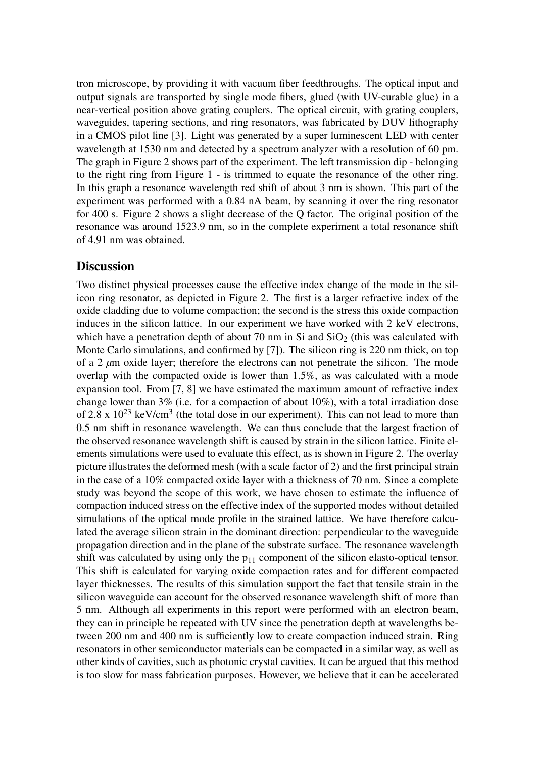tron microscope, by providing it with vacuum fiber feedthroughs. The optical input and output signals are transported by single mode fibers, glued (with UV-curable glue) in a near-vertical position above grating couplers. The optical circuit, with grating couplers, waveguides, tapering sections, and ring resonators, was fabricated by DUV lithography in a CMOS pilot line [3]. Light was generated by a super luminescent LED with center wavelength at 1530 nm and detected by a spectrum analyzer with a resolution of 60 pm. The graph in Figure 2 shows part of the experiment. The left transmission dip - belonging to the right ring from Figure 1 - is trimmed to equate the resonance of the other ring. In this graph a resonance wavelength red shift of about 3 nm is shown. This part of the experiment was performed with a 0.84 nA beam, by scanning it over the ring resonator for 400 s. Figure 2 shows a slight decrease of the Q factor. The original position of the resonance was around 1523.9 nm, so in the complete experiment a total resonance shift of 4.91 nm was obtained.

#### **Discussion**

Two distinct physical processes cause the effective index change of the mode in the silicon ring resonator, as depicted in Figure 2. The first is a larger refractive index of the oxide cladding due to volume compaction; the second is the stress this oxide compaction induces in the silicon lattice. In our experiment we have worked with 2 keV electrons, which have a penetration depth of about 70 nm in Si and  $SiO<sub>2</sub>$  (this was calculated with Monte Carlo simulations, and confirmed by [7]). The silicon ring is 220 nm thick, on top of a 2 *µ*m oxide layer; therefore the electrons can not penetrate the silicon. The mode overlap with the compacted oxide is lower than 1.5%, as was calculated with a mode expansion tool. From [7, 8] we have estimated the maximum amount of refractive index change lower than 3% (i.e. for a compaction of about 10%), with a total irradiation dose of 2.8 x  $10^{23}$  keV/cm<sup>3</sup> (the total dose in our experiment). This can not lead to more than 0.5 nm shift in resonance wavelength. We can thus conclude that the largest fraction of the observed resonance wavelength shift is caused by strain in the silicon lattice. Finite elements simulations were used to evaluate this effect, as is shown in Figure 2. The overlay picture illustrates the deformed mesh (with a scale factor of 2) and the first principal strain in the case of a 10% compacted oxide layer with a thickness of 70 nm. Since a complete study was beyond the scope of this work, we have chosen to estimate the influence of compaction induced stress on the effective index of the supported modes without detailed simulations of the optical mode profile in the strained lattice. We have therefore calculated the average silicon strain in the dominant direction: perpendicular to the waveguide propagation direction and in the plane of the substrate surface. The resonance wavelength shift was calculated by using only the  $p_{11}$  component of the silicon elasto-optical tensor. This shift is calculated for varying oxide compaction rates and for different compacted layer thicknesses. The results of this simulation support the fact that tensile strain in the silicon waveguide can account for the observed resonance wavelength shift of more than 5 nm. Although all experiments in this report were performed with an electron beam, they can in principle be repeated with UV since the penetration depth at wavelengths between 200 nm and 400 nm is sufficiently low to create compaction induced strain. Ring resonators in other semiconductor materials can be compacted in a similar way, as well as other kinds of cavities, such as photonic crystal cavities. It can be argued that this method is too slow for mass fabrication purposes. However, we believe that it can be accelerated